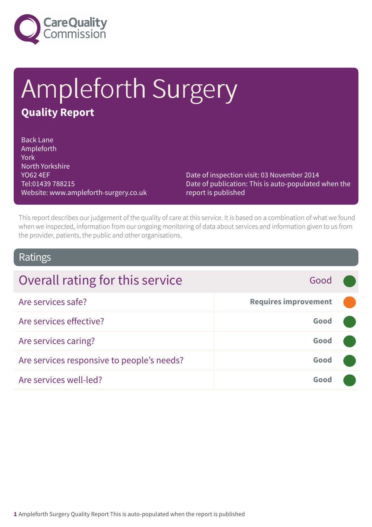

# Ampleforth Surgery **Quality Report**

Back Lane Ampleforth York North Yorkshire YO62 4EF Tel:01439 788215 Website: www.ampleforth-surgery.co.uk

Date of inspection visit: 03 November 2014 Date of publication: This is auto-populated when the report is published

This report describes our judgement of the quality of care at this service. It is based on a combination of what we found when we inspected, information from our ongoing monitoring of data about services and information given to us from the provider, patients, the public and other organisations.

### Ratings

| Overall rating for this service            | Good                        |  |
|--------------------------------------------|-----------------------------|--|
| Are services safe?                         | <b>Requires improvement</b> |  |
| Are services effective?                    | Good                        |  |
| Are services caring?                       | Good                        |  |
| Are services responsive to people's needs? | Good                        |  |
| Are services well-led?                     | Good                        |  |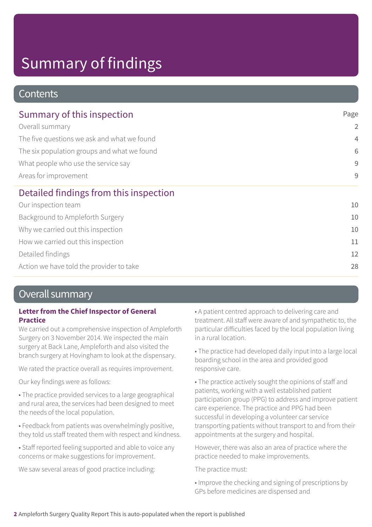# Summary of findings

### **Contents**

| Summary of this inspection                                                                                                                                                    | Page           |
|-------------------------------------------------------------------------------------------------------------------------------------------------------------------------------|----------------|
| Overall summary<br>The five questions we ask and what we found<br>The six population groups and what we found<br>What people who use the service say<br>Areas for improvement | 2              |
|                                                                                                                                                                               | $\overline{4}$ |
|                                                                                                                                                                               | 6              |
|                                                                                                                                                                               | 9              |
|                                                                                                                                                                               | 9              |
| Detailed findings from this inspection                                                                                                                                        |                |
| Our inspection team                                                                                                                                                           | 10             |
| Background to Ampleforth Surgery                                                                                                                                              | 10             |
| Why we carried out this inspection                                                                                                                                            | 10             |
| How we carried out this inspection                                                                                                                                            | 11             |
| Detailed findings                                                                                                                                                             | 12             |
| Action we have told the provider to take                                                                                                                                      | 28             |

### Overall summary

### **Letter from the Chief Inspector of General Practice**

We carried out a comprehensive inspection of Ampleforth Surgery on 3 November 2014. We inspected the main surgery at Back Lane, Ampleforth and also visited the branch surgery at Hovingham to look at the dispensary.

We rated the practice overall as requires improvement.

Our key findings were as follows:

• The practice provided services to a large geographical and rural area, the services had been designed to meet the needs of the local population.

• Feedback from patients was overwhelmingly positive, they told us staff treated them with respect and kindness.

• Staff reported feeling supported and able to voice any concerns or make suggestions for improvement.

We saw several areas of good practice including:

• A patient centred approach to delivering care and treatment. All staff were aware of and sympathetic to, the particular difficulties faced by the local population living in a rural location.

• The practice had developed daily input into a large local boarding school in the area and provided good responsive care.

• The practice actively sought the opinions of staff and patients, working with a well established patient participation group (PPG) to address and improve patient care experience. The practice and PPG had been successful in developing a volunteer car service transporting patients without transport to and from their appointments at the surgery and hospital.

However, there was also an area of practice where the practice needed to make improvements.

The practice must:

• Improve the checking and signing of prescriptions by GPs before medicines are dispensed and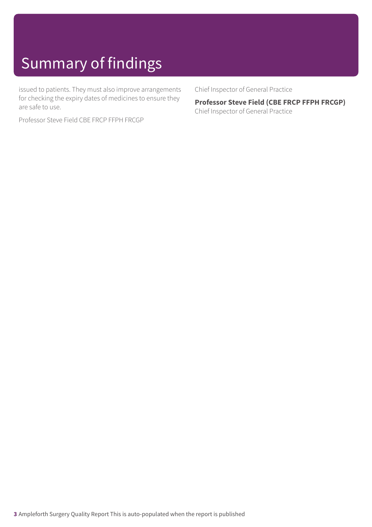# Summary of findings

issued to patients. They must also improve arrangements for checking the expiry dates of medicines to ensure they are safe to use.

Professor Steve Field CBE FRCP FFPH FRCGP

Chief Inspector of General Practice

**Professor Steve Field (CBE FRCP FFPH FRCGP)** Chief Inspector of General Practice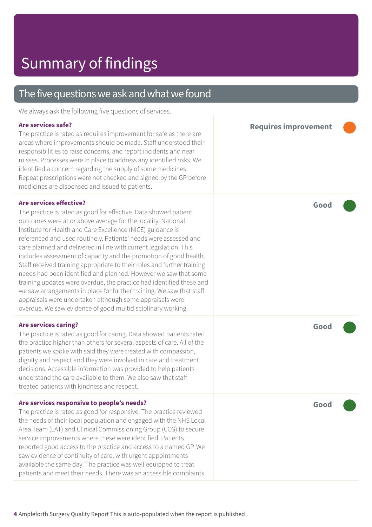### The five questions we ask and what we found We always ask the following five questions of services. **Are services safe?** The practice is rated as requires improvement for safe as there are areas where improvements should be made. Staff understood their responsibilities to raise concerns, and report incidents and near misses. Processes were in place to address any identified risks. We identified a concern regarding the supply of some medicines. Repeat prescriptions were not checked and signed by the GP before medicines are dispensed and issued to patients. **Requires improvement ––– Are services effective?** The practice is rated as good for effective. Data showed patient outcomes were at or above average for the locality. National Institute for Health and Care Excellence (NICE) guidance is referenced and used routinely. Patients' needs were assessed and care planned and delivered in line with current legislation. This includes assessment of capacity and the promotion of good health. Staff received training appropriate to their roles and further training needs had been identified and planned. However we saw that some training updates were overdue, the practice had identified these and we saw arrangements in place for further training. We saw that staff appraisals were undertaken although some appraisals were overdue. We saw evidence of good multidisciplinary working. **Good ––– Are services caring?** The practice is rated as good for caring. Data showed patients rated the practice higher than others for several aspects of care. All of the patients we spoke with said they were treated with compassion, dignity and respect and they were involved in care and treatment decisions. Accessible information was provided to help patients understand the care available to them. We also saw that staff treated patients with kindness and respect. **Good ––– Are services responsive to people's needs?** The practice is rated as good for responsive. The practice reviewed the needs of their local population and engaged with the NHS Local Area Team (LAT) and Clinical Commissioning Group (CCG) to secure service improvements where these were identified. Patients reported good access to the practice and access to a named GP. We saw evidence of continuity of care, with urgent appointments available the same day. The practice was well equipped to treat patients and meet their needs. There was an accessible complaints **Good –––**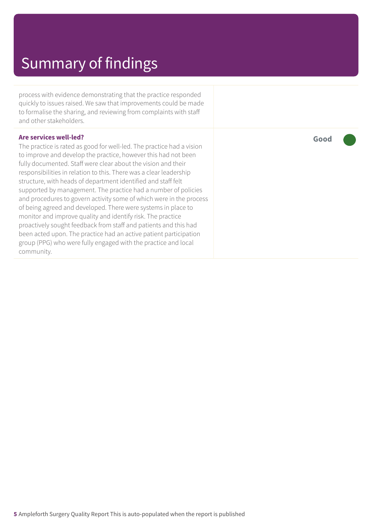## Summary of findings

process with evidence demonstrating that the practice responded quickly to issues raised. We saw that improvements could be made to formalise the sharing, and reviewing from complaints with staff and other stakeholders.

#### **Are services well-led?**

The practice is rated as good for well-led. The practice had a vision to improve and develop the practice, however this had not been fully documented. Staff were clear about the vision and their responsibilities in relation to this. There was a clear leadership structure, with heads of department identified and staff felt supported by management. The practice had a number of policies and procedures to govern activity some of which were in the process of being agreed and developed. There were systems in place to monitor and improve quality and identify risk. The practice proactively sought feedback from staff and patients and this had been acted upon. The practice had an active patient participation group (PPG) who were fully engaged with the practice and local community.

**Good –––**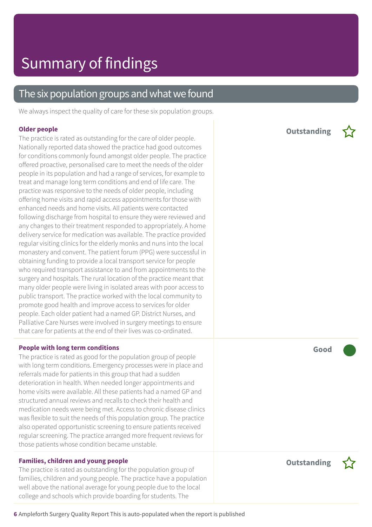### The six population groups and what we found

We always inspect the quality of care for these six population groups.

#### **Older people**

The practice is rated as outstanding for the care of older people. Nationally reported data showed the practice had good outcomes for conditions commonly found amongst older people. The practice offered proactive, personalised care to meet the needs of the older people in its population and had a range of services, for example to treat and manage long term conditions and end of life care. The practice was responsive to the needs of older people, including offering home visits and rapid access appointments for those with enhanced needs and home visits. All patients were contacted following discharge from hospital to ensure they were reviewed and any changes to their treatment responded to appropriately. A home delivery service for medication was available. The practice provided regular visiting clinics for the elderly monks and nuns into the local monastery and convent. The patient forum (PPG) were successful in obtaining funding to provide a local transport service for people who required transport assistance to and from appointments to the surgery and hospitals. The rural location of the practice meant that many older people were living in isolated areas with poor access to public transport. The practice worked with the local community to promote good health and improve access to services for older people. Each older patient had a named GP. District Nurses, and Palliative Care Nurses were involved in surgery meetings to ensure that care for patients at the end of their lives was co-ordinated.

#### **People with long term conditions**

The practice is rated as good for the population group of people with long term conditions. Emergency processes were in place and referrals made for patients in this group that had a sudden deterioration in health. When needed longer appointments and home visits were available. All these patients had a named GP and structured annual reviews and recalls to check their health and medication needs were being met. Access to chronic disease clinics was flexible to suit the needs of this population group. The practice also operated opportunistic screening to ensure patients received regular screening. The practice arranged more frequent reviews for those patients whose condition became unstable.

### **Families, children and young people**

The practice is rated as outstanding for the population group of families, children and young people. The practice have a population well above the national average for young people due to the local college and schools which provide boarding for students. The

**Outstanding –**



**Outstanding –**

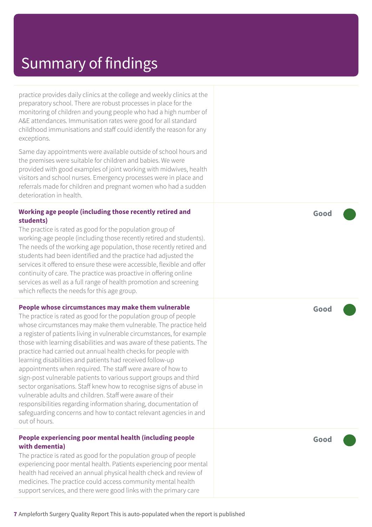## Summary of findings

practice provides daily clinics at the college and weekly clinics at the preparatory school. There are robust processes in place for the monitoring of children and young people who had a high number of A&E attendances. Immunisation rates were good for all standard childhood immunisations and staff could identify the reason for any exceptions.

Same day appointments were available outside of school hours and the premises were suitable for children and babies. We were provided with good examples of joint working with midwives, health visitors and school nurses. Emergency processes were in place and referrals made for children and pregnant women who had a sudden deterioration in health.

### **Working age people (including those recently retired and students)**

The practice is rated as good for the population group of working-age people (including those recently retired and students). The needs of the working age population, those recently retired and students had been identified and the practice had adjusted the services it offered to ensure these were accessible, flexible and offer continuity of care. The practice was proactive in offering online services as well as a full range of health promotion and screening which reflects the needs for this age group.

### **People whose circumstances may make them vulnerable**

The practice is rated as good for the population group of people whose circumstances may make them vulnerable. The practice held a register of patients living in vulnerable circumstances, for example those with learning disabilities and was aware of these patients. The practice had carried out annual health checks for people with learning disabilities and patients had received follow-up appointments when required. The staff were aware of how to sign-post vulnerable patients to various support groups and third sector organisations. Staff knew how to recognise signs of abuse in vulnerable adults and children. Staff were aware of their responsibilities regarding information sharing, documentation of safeguarding concerns and how to contact relevant agencies in and out of hours.

#### **People experiencing poor mental health (including people with dementia)**

The practice is rated as good for the population group of people experiencing poor mental health. Patients experiencing poor mental health had received an annual physical health check and review of medicines. The practice could access community mental health support services, and there were good links with the primary care

**Good –––**

**Good –––**

**Good –––**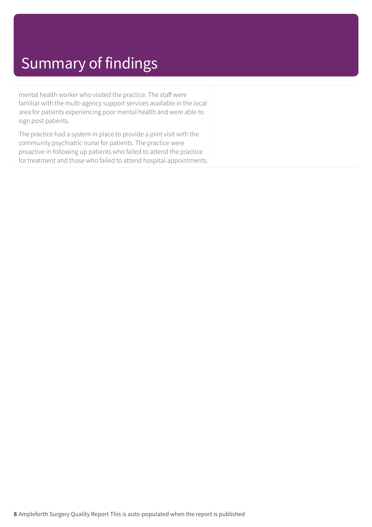## Summary of findings

mental health worker who visited the practice. The staff were familiar with the multi-agency support services available in the local area for patients experiencing poor mental health and were able to sign post patients.

The practice had a system in place to provide a joint visit with the community psychiatric nurse for patients. The practice were proactive in following up patients who failed to attend the practice for treatment and those who failed to attend hospital appointments.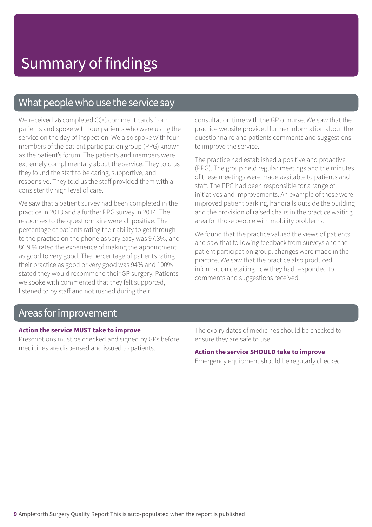### What people who use the service say

We received 26 completed CQC comment cards from patients and spoke with four patients who were using the service on the day of inspection. We also spoke with four members of the patient participation group (PPG) known as the patient's forum. The patients and members were extremely complimentary about the service. They told us they found the staff to be caring, supportive, and responsive. They told us the staff provided them with a consistently high level of care.

We saw that a patient survey had been completed in the practice in 2013 and a further PPG survey in 2014. The responses to the questionnaire were all positive. The percentage of patients rating their ability to get through to the practice on the phone as very easy was 97.3%, and 86.9 % rated the experience of making the appointment as good to very good. The percentage of patients rating their practice as good or very good was 94% and 100% stated they would recommend their GP surgery. Patients we spoke with commented that they felt supported, listened to by staff and not rushed during their

consultation time with the GP or nurse. We saw that the practice website provided further information about the questionnaire and patients comments and suggestions to improve the service.

The practice had established a positive and proactive (PPG). The group held regular meetings and the minutes of these meetings were made available to patients and staff. The PPG had been responsible for a range of initiatives and improvements. An example of these were improved patient parking, handrails outside the building and the provision of raised chairs in the practice waiting area for those people with mobility problems.

We found that the practice valued the views of patients and saw that following feedback from surveys and the patient participation group, changes were made in the practice. We saw that the practice also produced information detailing how they had responded to comments and suggestions received.

### Areas forimprovement

### **Action the service MUST take to improve**

Prescriptions must be checked and signed by GPs before medicines are dispensed and issued to patients.

The expiry dates of medicines should be checked to ensure they are safe to use.

### **Action the service SHOULD take to improve**

Emergency equipment should be regularly checked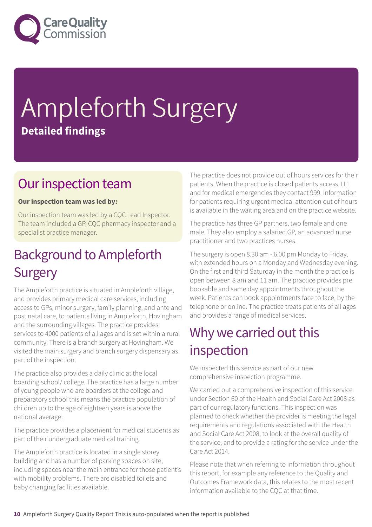

# Ampleforth Surgery **Detailed findings**

## Our inspection team

### **Our inspection team was led by:**

Our inspection team was led by a CQC Lead Inspector. The team included a GP, CQC pharmacy inspector and a specialist practice manager.

## **Background to Ampleforth Surgery**

The Ampleforth practice is situated in Ampleforth village, and provides primary medical care services, including access to GPs, minor surgery, family planning, and ante and post natal care, to patients living in Ampleforth, Hovingham and the surrounding villages. The practice provides services to 4000 patients of all ages and is set within a rural community. There is a branch surgery at Hovingham. We visited the main surgery and branch surgery dispensary as part of the inspection.

The practice also provides a daily clinic at the local boarding school/ college. The practice has a large number of young people who are boarders at the college and preparatory school this means the practice population of children up to the age of eighteen years is above the national average.

The practice provides a placement for medical students as part of their undergraduate medical training.

The Ampleforth practice is located in a single storey building and has a number of parking spaces on site, including spaces near the main entrance for those patient's with mobility problems. There are disabled toilets and baby changing facilities available.

The practice does not provide out of hours services for their patients. When the practice is closed patients access 111 and for medical emergencies they contact 999. Information for patients requiring urgent medical attention out of hours is available in the waiting area and on the practice website.

The practice has three GP partners, two female and one male. They also employ a salaried GP, an advanced nurse practitioner and two practices nurses.

The surgery is open 8.30 am - 6.00 pm Monday to Friday, with extended hours on a Monday and Wednesday evening. On the first and third Saturday in the month the practice is open between 8 am and 11 am. The practice provides pre bookable and same day appointments throughout the week. Patients can book appointments face to face, by the telephone or online. The practice treats patients of all ages and provides a range of medical services.

## Why we carried out this inspection

We inspected this service as part of our new comprehensive inspection programme.

We carried out a comprehensive inspection of this service under Section 60 of the Health and Social Care Act 2008 as part of our regulatory functions. This inspection was planned to check whether the provider is meeting the legal requirements and regulations associated with the Health and Social Care Act 2008, to look at the overall quality of the service, and to provide a rating for the service under the Care Act 2014.

Please note that when referring to information throughout this report, for example any reference to the Quality and Outcomes Framework data, this relates to the most recent information available to the CQC at that time.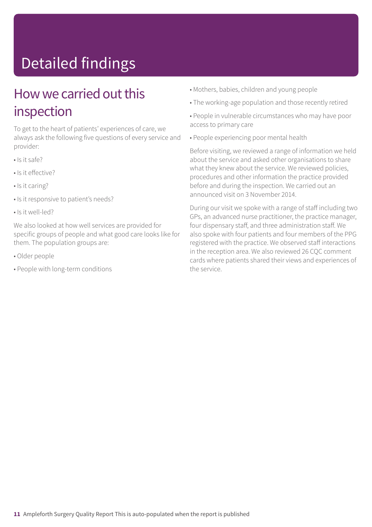# Detailed findings

## How we carried out this inspection

To get to the heart of patients' experiences of care, we always ask the following five questions of every service and provider:

- Is it safe?
- Is it effective?
- Is it caring?
- Is it responsive to patient's needs?
- Is it well-led?

We also looked at how well services are provided for specific groups of people and what good care looks like for them. The population groups are:

- Older people
- People with long-term conditions
- Mothers, babies, children and young people
- The working-age population and those recently retired
- People in vulnerable circumstances who may have poor access to primary care
- People experiencing poor mental health

Before visiting, we reviewed a range of information we held about the service and asked other organisations to share what they knew about the service. We reviewed policies, procedures and other information the practice provided before and during the inspection. We carried out an announced visit on 3 November 2014.

During our visit we spoke with a range of staff including two GPs, an advanced nurse practitioner, the practice manager, four dispensary staff, and three administration staff. We also spoke with four patients and four members of the PPG registered with the practice. We observed staff interactions in the reception area. We also reviewed 26 CQC comment cards where patients shared their views and experiences of the service.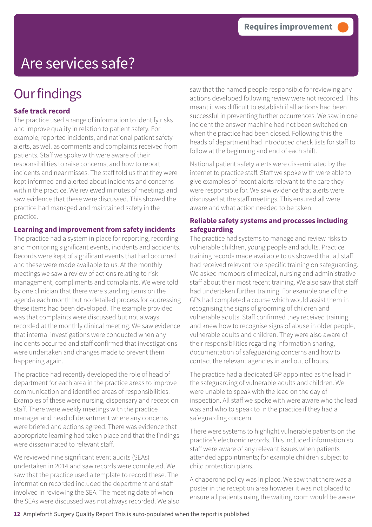## **Our findings**

### **Safe track record**

The practice used a range of information to identify risks and improve quality in relation to patient safety. For example, reported incidents, and national patient safety alerts, as well as comments and complaints received from patients. Staff we spoke with were aware of their responsibilities to raise concerns, and how to report incidents and near misses. The staff told us that they were kept informed and alerted about incidents and concerns within the practice. We reviewed minutes of meetings and saw evidence that these were discussed. This showed the practice had managed and maintained safety in the practice.

**Learning and improvement from safety incidents**

The practice had a system in place for reporting, recording and monitoring significant events, incidents and accidents. Records were kept of significant events that had occurred and these were made available to us. At the monthly meetings we saw a review of actions relating to risk management, compliments and complaints. We were told by one clinician that there were standing items on the agenda each month but no detailed process for addressing these items had been developed. The example provided was that complaints were discussed but not always recorded at the monthly clinical meeting. We saw evidence that internal investigations were conducted when any incidents occurred and staff confirmed that investigations were undertaken and changes made to prevent them happening again.

The practice had recently developed the role of head of department for each area in the practice areas to improve communication and identified areas of responsibilities. Examples of these were nursing, dispensary and reception staff. There were weekly meetings with the practice manager and head of department where any concerns were briefed and actions agreed. There was evidence that appropriate learning had taken place and that the findings were disseminated to relevant staff.

We reviewed nine significant event audits (SEAs) undertaken in 2014 and saw records were completed. We saw that the practice used a template to record these. The information recorded included the department and staff involved in reviewing the SEA. The meeting date of when the SEAs were discussed was not always recorded. We also saw that the named people responsible for reviewing any actions developed following review were not recorded. This meant it was difficult to establish if all actions had been successful in preventing further occurrences. We saw in one incident the answer machine had not been switched on when the practice had been closed. Following this the heads of department had introduced check lists for staff to follow at the beginning and end of each shift.

National patient safety alerts were disseminated by the internet to practice staff. Staff we spoke with were able to give examples of recent alerts relevant to the care they were responsible for. We saw evidence that alerts were discussed at the staff meetings. This ensured all were aware and what action needed to be taken.

### **Reliable safety systems and processes including safeguarding**

The practice had systems to manage and review risks to vulnerable children, young people and adults. Practice training records made available to us showed that all staff had received relevant role specific training on safeguarding. We asked members of medical, nursing and administrative staff about their most recent training. We also saw that staff had undertaken further training. For example one of the GPs had completed a course which would assist them in recognising the signs of grooming of children and vulnerable adults. Staff confirmed they received training and knew how to recognise signs of abuse in older people, vulnerable adults and children. They were also aware of their responsibilities regarding information sharing, documentation of safeguarding concerns and how to contact the relevant agencies in and out of hours.

The practice had a dedicated GP appointed as the lead in the safeguarding of vulnerable adults and children. We were unable to speak with the lead on the day of inspection. All staff we spoke with were aware who the lead was and who to speak to in the practice if they had a safeguarding concern.

There were systems to highlight vulnerable patients on the practice's electronic records. This included information so staff were aware of any relevant issues when patients attended appointments; for example children subject to child protection plans.

A chaperone policy was in place. We saw that there was a poster in the reception area however it was not placed to ensure all patients using the waiting room would be aware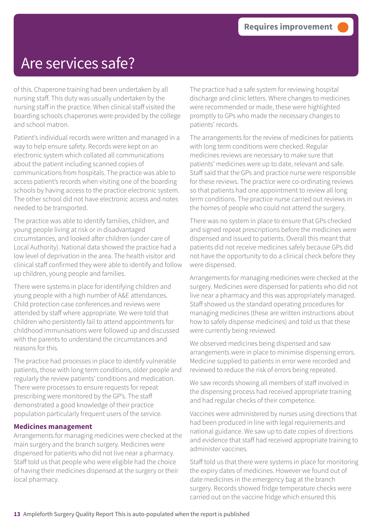of this. Chaperone training had been undertaken by all nursing staff. This duty was usually undertaken by the nursing staff in the practice. When clinical staff visited the boarding schools chaperones were provided by the college and school matron.

Patient's individual records were written and managed in a way to help ensure safety. Records were kept on an electronic system which collated all communications about the patient including scanned copies of communications from hospitals. The practice was able to access patient's records when visiting one of the boarding schools by having access to the practice electronic system. The other school did not have electronic access and notes needed to be transported.

The practice was able to identify families, children, and young people living at risk or in disadvantaged circumstances, and looked after children (under care of Local Authority). National data showed the practice had a low level of deprivation in the area. The health visitor and clinical staff confirmed they were able to identify and follow up children, young people and families.

There were systems in place for identifying children and young people with a high number of A&E attendances. Child protection case conferences and reviews were attended by staff where appropriate. We were told that children who persistently fail to attend appointments for childhood immunisations were followed up and discussed with the parents to understand the circumstances and reasons for this.

The practice had processes in place to identify vulnerable patients, those with long term conditions, older people and regularly the review patients' conditions and medication. There were processes to ensure requests for repeat prescribing were monitored by the GP's. The staff demonstrated a good knowledge of their practice population particularly frequent users of the service.

### **Medicines management**

Arrangements for managing medicines were checked at the main surgery and the branch surgery. Medicines were dispensed for patients who did not live near a pharmacy. Staff told us that people who were eligible had the choice of having their medicines dispensed at the surgery or their local pharmacy.

The practice had a safe system for reviewing hospital discharge and clinic letters. Where changes to medicines were recommended or made, these were highlighted promptly to GPs who made the necessary changes to patients' records.

The arrangements for the review of medicines for patients with long term conditions were checked. Regular medicines reviews are necessary to make sure that patients' medicines were up to date, relevant and safe. Staff said that the GPs and practice nurse were responsible for these reviews. The practice were co-ordinating reviews so that patients had one appointment to review all long term conditions. The practice nurse carried out reviews in the homes of people who could not attend the surgery.

There was no system in place to ensure that GPs checked and signed repeat prescriptions before the medicines were dispensed and issued to patients. Overall this meant that patients did not receive medicines safely because GPs did not have the opportunity to do a clinical check before they were dispensed.

Arrangements for managing medicines were checked at the surgery. Medicines were dispensed for patients who did not live near a pharmacy and this was appropriately managed. Staff showed us the standard operating procedures for managing medicines (these are written instructions about how to safely dispense medicines) and told us that these were currently being reviewed.

We observed medicines being dispensed and saw arrangements were in place to minimise dispensing errors. Medicine supplied to patients in error were recorded and reviewed to reduce the risk of errors being repeated.

We saw records showing all members of staff involved in the dispensing process had received appropriate training and had regular checks of their competence.

Vaccines were administered by nurses using directions that had been produced in line with legal requirements and national guidance. We saw up to date copies of directions and evidence that staff had received appropriate training to administer vaccines.

Staff told us that there were systems in place for monitoring the expiry dates of medicines. However we found out of date medicines in the emergency bag at the branch surgery. Records showed fridge temperature checks were carried out on the vaccine fridge which ensured this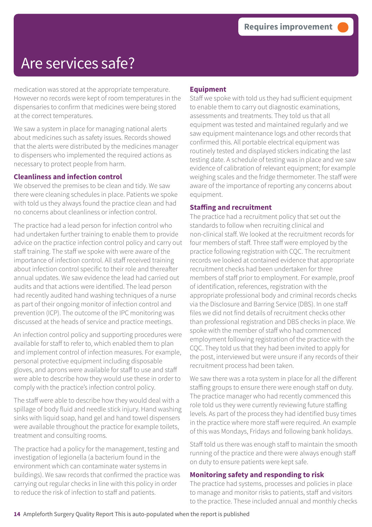medication was stored at the appropriate temperature. However no records were kept of room temperatures in the dispensaries to confirm that medicines were being stored at the correct temperatures.

We saw a system in place for managing national alerts about medicines such as safety issues. Records showed that the alerts were distributed by the medicines manager to dispensers who implemented the required actions as necessary to protect people from harm.

### **Cleanliness and infection control**

We observed the premises to be clean and tidy. We saw there were cleaning schedules in place. Patients we spoke with told us they always found the practice clean and had no concerns about cleanliness or infection control.

The practice had a lead person for infection control who had undertaken further training to enable them to provide advice on the practice infection control policy and carry out staff training. The staff we spoke with were aware of the importance of infection control. All staff received training about infection control specific to their role and thereafter annual updates. We saw evidence the lead had carried out audits and that actions were identified. The lead person had recently audited hand washing techniques of a nurse as part of their ongoing monitor of infection control and prevention (ICP). The outcome of the IPC monitoring was discussed at the heads of service and practice meetings.

An infection control policy and supporting procedures were available for staff to refer to, which enabled them to plan and implement control of infection measures. For example, personal protective equipment including disposable gloves, and aprons were available for staff to use and staff were able to describe how they would use these in order to comply with the practice's infection control policy.

The staff were able to describe how they would deal with a spillage of body fluid and needle stick injury. Hand washing sinks with liquid soap, hand gel and hand towel dispensers were available throughout the practice for example toilets, treatment and consulting rooms.

The practice had a policy for the management, testing and investigation of legionella (a bacterium found in the environment which can contaminate water systems in buildings). We saw records that confirmed the practice was carrying out regular checks in line with this policy in order to reduce the risk of infection to staff and patients.

### **Equipment**

Staff we spoke with told us they had sufficient equipment to enable them to carry out diagnostic examinations, assessments and treatments. They told us that all equipment was tested and maintained regularly and we saw equipment maintenance logs and other records that confirmed this. All portable electrical equipment was routinely tested and displayed stickers indicating the last testing date. A schedule of testing was in place and we saw evidence of calibration of relevant equipment; for example weighing scales and the fridge thermometer. The staff were aware of the importance of reporting any concerns about equipment.

### **Staffing and recruitment**

The practice had a recruitment policy that set out the standards to follow when recruiting clinical and non-clinical staff. We looked at the recruitment records for four members of staff. Three staff were employed by the practice following registration with CQC. The recruitment records we looked at contained evidence that appropriate recruitment checks had been undertaken for three members of staff prior to employment. For example, proof of identification, references, registration with the appropriate professional body and criminal records checks via the Disclosure and Barring Service (DBS). In one staff files we did not find details of recruitment checks other than professional registration and DBS checks in place. We spoke with the member of staff who had commenced employment following registration of the practice with the CQC. They told us that they had been invited to apply for the post, interviewed but were unsure if any records of their recruitment process had been taken.

We saw there was a rota system in place for all the different staffing groups to ensure there were enough staff on duty. The practice manager who had recently commenced this role told us they were currently reviewing future staffing levels. As part of the process they had identified busy times in the practice where more staff were required. An example of this was Mondays, Fridays and following bank holidays.

Staff told us there was enough staff to maintain the smooth running of the practice and there were always enough staff on duty to ensure patients were kept safe.

### **Monitoring safety and responding to risk**

The practice had systems, processes and policies in place to manage and monitor risks to patients, staff and visitors to the practice. These included annual and monthly checks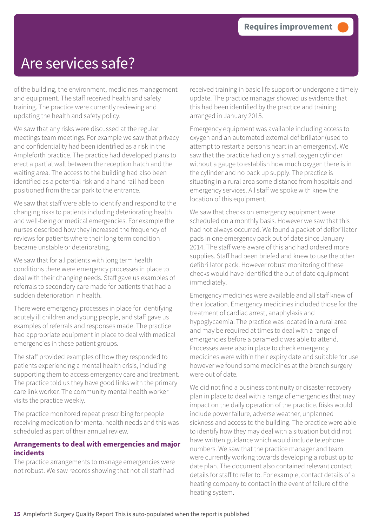of the building, the environment, medicines management and equipment. The staff received health and safety training. The practice were currently reviewing and updating the health and safety policy.

We saw that any risks were discussed at the regular meetings team meetings. For example we saw that privacy and confidentiality had been identified as a risk in the Ampleforth practice. The practice had developed plans to erect a partial wall between the reception hatch and the waiting area. The access to the building had also been identified as a potential risk and a hand rail had been positioned from the car park to the entrance.

We saw that staff were able to identify and respond to the changing risks to patients including deteriorating health and well-being or medical emergencies. For example the nurses described how they increased the frequency of reviews for patients where their long term condition became unstable or deteriorating.

We saw that for all patients with long term health conditions there were emergency processes in place to deal with their changing needs. Staff gave us examples of referrals to secondary care made for patients that had a sudden deterioration in health.

There were emergency processes in place for identifying acutely ill children and young people, and staff gave us examples of referrals and responses made. The practice had appropriate equipment in place to deal with medical emergencies in these patient groups.

The staff provided examples of how they responded to patients experiencing a mental health crisis, including supporting them to access emergency care and treatment. The practice told us they have good links with the primary care link worker. The community mental health worker visits the practice weekly.

The practice monitored repeat prescribing for people receiving medication for mental health needs and this was scheduled as part of their annual review.

### **Arrangements to deal with emergencies and major incidents**

The practice arrangements to manage emergencies were not robust. We saw records showing that not all staff had

received training in basic life support or undergone a timely update. The practice manager showed us evidence that this had been identified by the practice and training arranged in January 2015.

Emergency equipment was available including access to oxygen and an automated external defibrillator (used to attempt to restart a person's heart in an emergency). We saw that the practice had only a small oxygen cylinder without a gauge to establish how much oxygen there is in the cylinder and no back up supply. The practice is situating in a rural area some distance from hospitals and emergency services. All staff we spoke with knew the location of this equipment.

We saw that checks on emergency equipment were scheduled on a monthly basis. However we saw that this had not always occurred. We found a packet of defibrillator pads in one emergency pack out of date since January 2014. The staff were aware of this and had ordered more supplies. Staff had been briefed and knew to use the other defibrillator pack. However robust monitoring of these checks would have identified the out of date equipment immediately.

Emergency medicines were available and all staff knew of their location. Emergency medicines included those for the treatment of cardiac arrest, anaphylaxis and hypoglycaemia. The practice was located in a rural area and may be required at times to deal with a range of emergencies before a paramedic was able to attend. Processes were also in place to check emergency medicines were within their expiry date and suitable for use however we found some medicines at the branch surgery were out of date.

We did not find a business continuity or disaster recovery plan in place to deal with a range of emergencies that may impact on the daily operation of the practice. Risks would include power failure, adverse weather, unplanned sickness and access to the building. The practice were able to identify how they may deal with a situation but did not have written guidance which would include telephone numbers. We saw that the practice manager and team were currently working towards developing a robust up to date plan. The document also contained relevant contact details for staff to refer to. For example, contact details of a heating company to contact in the event of failure of the heating system.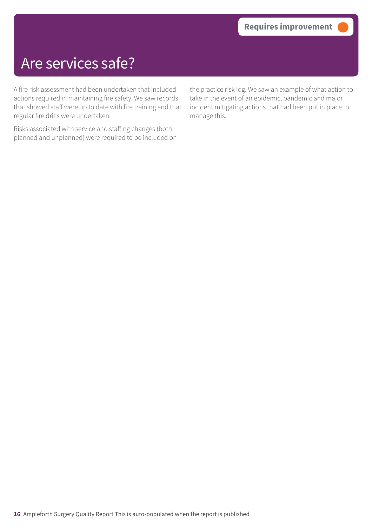A fire risk assessment had been undertaken that included actions required in maintaining fire safety. We saw records that showed staff were up to date with fire training and that regular fire drills were undertaken.

Risks associated with service and staffing changes (both planned and unplanned) were required to be included on the practice risk log. We saw an example of what action to take in the event of an epidemic, pandemic and major incident mitigating actions that had been put in place to manage this.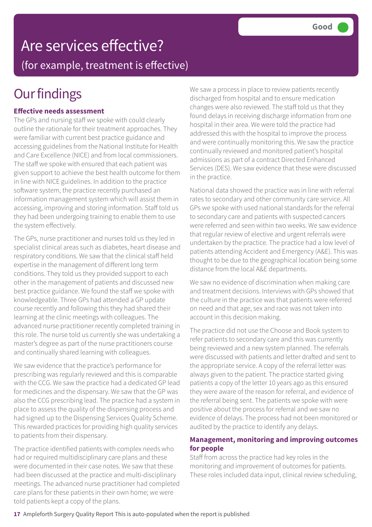# Are services effective?

(for example, treatment is effective)

## **Our findings**

### **Effective needs assessment**

The GPs and nursing staff we spoke with could clearly outline the rationale for their treatment approaches. They were familiar with current best practice guidance and accessing guidelines from the National Institute for Health and Care Excellence (NICE) and from local commissioners. The staff we spoke with ensured that each patient was given support to achieve the best health outcome for them in line with NICE guidelines. In addition to the practice software system, the practice recently purchased an information management system which will assist them in accessing, improving and storing information. Staff told us they had been undergoing training to enable them to use the system effectively.

The GPs, nurse practitioner and nurses told us they led in specialist clinical areas such as diabetes, heart disease and respiratory conditions. We saw that the clinical staff held expertise in the management of different long term conditions. They told us they provided support to each other in the management of patients and discussed new best practice guidance. We found the staff we spoke with knowledgeable. Three GPs had attended a GP update course recently and following this they had shared their learning at the clinic meetings with colleagues. The advanced nurse practitioner recently completed training in this role. The nurse told us currently she was undertaking a master's degree as part of the nurse practitioners course and continually shared learning with colleagues.

We saw evidence that the practice's performance for prescribing was regularly reviewed and this is comparable with the CCG. We saw the practice had a dedicated GP lead for medicines and the dispensary. We saw that the GP was also the CCG prescribing lead. The practice had a system in place to assess the quality of the dispensing process and had signed up to the Dispensing Services Quality Scheme. This rewarded practices for providing high quality services to patients from their dispensary.

The practice identified patients with complex needs who had or required multidisciplinary care plans and these were documented in their case notes. We saw that these had been discussed at the practice and multi-disciplinary meetings. The advanced nurse practitioner had completed care plans for these patients in their own home; we were told patients kept a copy of the plans.

We saw a process in place to review patients recently discharged from hospital and to ensure medication changes were also reviewed. The staff told us that they found delays in receiving discharge information from one hospital in their area. We were told the practice had addressed this with the hospital to improve the process and were continually monitoring this. We saw the practice continually reviewed and monitored patient's hospital admissions as part of a contract Directed Enhanced Services (DES). We saw evidence that these were discussed in the practice.

National data showed the practice was in line with referral rates to secondary and other community care service. All GPs we spoke with used national standards for the referral to secondary care and patients with suspected cancers were referred and seen within two weeks. We saw evidence that regular review of elective and urgent referrals were undertaken by the practice. The practice had a low level of patients attending Accident and Emergency (A&E). This was thought to be due to the geographical location being some distance from the local A&E departments.

We saw no evidence of discrimination when making care and treatment decisions. Interviews with GPs showed that the culture in the practice was that patients were referred on need and that age, sex and race was not taken into account in this decision making.

The practice did not use the Choose and Book system to refer patients to secondary care and this was currently being reviewed and a new system planned. The referrals were discussed with patients and letter drafted and sent to the appropriate service. A copy of the referral letter was always given to the patient. The practice started giving patients a copy of the letter 10 years ago as this ensured they were aware of the reason for referral, and evidence of the referral being sent. The patients we spoke with were positive about the process for referral and we saw no evidence of delays. The process had not been monitored or audited by the practice to identify any delays.

### **Management, monitoring and improving outcomes for people**

Staff from across the practice had key roles in the monitoring and improvement of outcomes for patients. These roles included data input, clinical review scheduling,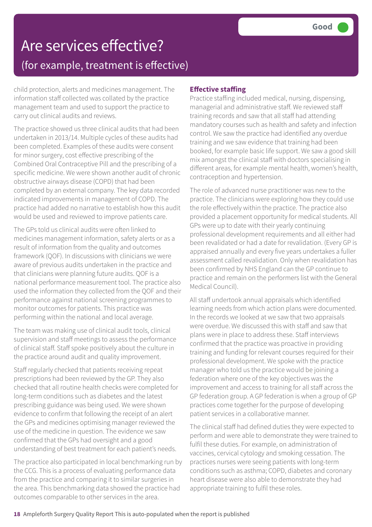child protection, alerts and medicines management. The information staff collected was collated by the practice management team and used to support the practice to carry out clinical audits and reviews.

The practice showed us three clinical audits that had been undertaken in 2013/14. Multiple cycles of these audits had been completed. Examples of these audits were consent for minor surgery, cost effective prescribing of the Combined Oral Contraceptive Pill and the prescribing of a specific medicine. We were shown another audit of chronic obstructive airways disease (COPD) that had been completed by an external company. The key data recorded indicated improvements in management of COPD. The practice had added no narrative to establish how this audit would be used and reviewed to improve patients care.

The GPs told us clinical audits were often linked to medicines management information, safety alerts or as a result of information from the quality and outcomes framework (QOF). In discussions with clinicians we were aware of previous audits undertaken in the practice and that clinicians were planning future audits. QOF is a national performance measurement tool. The practice also used the information they collected from the QOF and their performance against national screening programmes to monitor outcomes for patients. This practice was performing within the national and local average.

The team was making use of clinical audit tools, clinical supervision and staff meetings to assess the performance of clinical staff. Staff spoke positively about the culture in the practice around audit and quality improvement.

Staff regularly checked that patients receiving repeat prescriptions had been reviewed by the GP. They also checked that all routine health checks were completed for long-term conditions such as diabetes and the latest prescribing guidance was being used. We were shown evidence to confirm that following the receipt of an alert the GPs and medicines optimising manager reviewed the use of the medicine in question. The evidence we saw confirmed that the GPs had oversight and a good understanding of best treatment for each patient's needs.

The practice also participated in local benchmarking run by the CCG. This is a process of evaluating performance data from the practice and comparing it to similar surgeries in the area. This benchmarking data showed the practice had outcomes comparable to other services in the area.

### **Effective staffing**

Practice staffing included medical, nursing, dispensing, managerial and administrative staff. We reviewed staff training records and saw that all staff had attending mandatory courses such as health and safety and infection control. We saw the practice had identified any overdue training and we saw evidence that training had been booked, for example basic life support. We saw a good skill mix amongst the clinical staff with doctors specialising in different areas, for example mental health, women's health, contraception and hypertension.

The role of advanced nurse practitioner was new to the practice. The clinicians were exploring how they could use the role effectively within the practice. The practice also provided a placement opportunity for medical students. All GPs were up to date with their yearly continuing professional development requirements and all either had been revalidated or had a date for revalidation. (Every GP is appraised annually and every five years undertakes a fuller assessment called revalidation. Only when revalidation has been confirmed by NHS England can the GP continue to practice and remain on the performers list with the General Medical Council).

All staff undertook annual appraisals which identified learning needs from which action plans were documented. In the records we looked at we saw that two appraisals were overdue. We discussed this with staff and saw that plans were in place to address these. Staff interviews confirmed that the practice was proactive in providing training and funding for relevant courses required for their professional development. We spoke with the practice manager who told us the practice would be joining a federation where one of the key objectives was the improvement and access to training for all staff across the GP federation group. A GP federation is when a group of GP practices come together for the purpose of developing patient services in a collaborative manner.

The clinical staff had defined duties they were expected to perform and were able to demonstrate they were trained to fulfil these duties. For example, on administration of vaccines, cervical cytology and smoking cessation. The practices nurses were seeing patients with long-term conditions such as asthma; COPD, diabetes and coronary heart disease were also able to demonstrate they had appropriate training to fulfil these roles.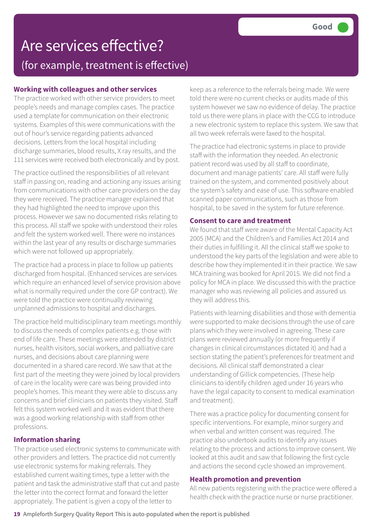### **Working with colleagues and other services**

The practice worked with other service providers to meet people's needs and manage complex cases. The practice used a template for communication on their electronic systems. Examples of this were communications with the out of hour's service regarding patients advanced decisions. Letters from the local hospital including discharge summaries, blood results, X ray results, and the 111 services were received both electronically and by post.

The practice outlined the responsibilities of all relevant staff in passing on, reading and actioning any issues arising from communications with other care providers on the day they were received. The practice manager explained that they had highlighted the need to improve upon this process. However we saw no documented risks relating to this process. All staff we spoke with understood their roles and felt the system worked well. There were no instances within the last year of any results or discharge summaries which were not followed up appropriately.

The practice had a process in place to follow up patients discharged from hospital. (Enhanced services are services which require an enhanced level of service provision above what is normally required under the core GP contract). We were told the practice were continually reviewing unplanned admissions to hospital and discharges.

The practice held multidisciplinary team meetings monthly to discuss the needs of complex patients e.g. those with end of life care. These meetings were attended by district nurses, health visitors, social workers, and palliative care nurses, and decisions about care planning were documented in a shared care record. We saw that at the first part of the meeting they were joined by local providers of care in the locality were care was being provided into people's homes. This meant they were able to discuss any concerns and brief clinicians on patients they visited. Staff felt this system worked well and it was evident that there was a good working relationship with staff from other professions.

### **Information sharing**

The practice used electronic systems to communicate with other providers and letters. The practice did not currently use electronic systems for making referrals. They established current waiting times, type a letter with the patient and task the administrative staff that cut and paste the letter into the correct format and forward the letter appropriately. The patient is given a copy of the letter to

keep as a reference to the referrals being made. We were told there were no current checks or audits made of this system however we saw no evidence of delay. The practice told us there were plans in place with the CCG to introduce a new electronic system to replace this system. We saw that all two week referrals were faxed to the hospital.

The practice had electronic systems in place to provide staff with the information they needed. An electronic patient record was used by all staff to coordinate, document and manage patients' care. All staff were fully trained on the system, and commented positively about the system's safety and ease of use. This software enabled scanned paper communications, such as those from hospital, to be saved in the system for future reference.

### **Consent to care and treatment**

We found that staff were aware of the Mental Capacity Act 2005 (MCA) and the Children's and Families Act 2014 and their duties in fulfilling it. All the clinical staff we spoke to understood the key parts of the legislation and were able to describe how they implemented it in their practice. We saw MCA training was booked for April 2015. We did not find a policy for MCA in place. We discussed this with the practice manager who was reviewing all policies and assured us they will address this.

Patients with learning disabilities and those with dementia were supported to make decisions through the use of care plans which they were involved in agreeing. These care plans were reviewed annually (or more frequently if changes in clinical circumstances dictated it) and had a section stating the patient's preferences for treatment and decisions. All clinical staff demonstrated a clear understanding of Gillick competencies. (These help clinicians to identify children aged under 16 years who have the legal capacity to consent to medical examination and treatment).

There was a practice policy for documenting consent for specific interventions. For example, minor surgery and when verbal and written consent was required. The practice also undertook audits to identify any issues relating to the process and actions to improve consent. We looked at this audit and saw that following the first cycle and actions the second cycle showed an improvement.

### **Health promotion and prevention**

All new patients registering with the practice were offered a health check with the practice nurse or nurse practitioner.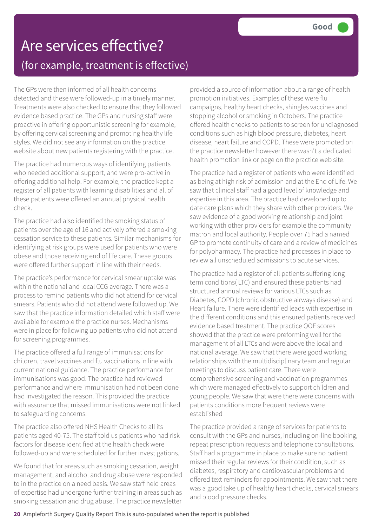The GPs were then informed of all health concerns detected and these were followed-up in a timely manner. Treatments were also checked to ensure that they followed evidence based practice. The GPs and nursing staff were proactive in offering opportunistic screening for example, by offering cervical screening and promoting healthy life styles. We did not see any information on the practice website about new patients registering with the practice.

The practice had numerous ways of identifying patients who needed additional support, and were pro-active in offering additional help. For example, the practice kept a register of all patients with learning disabilities and all of these patients were offered an annual physical health check.

The practice had also identified the smoking status of patients over the age of 16 and actively offered a smoking cessation service to these patients. Similar mechanisms for identifying at risk groups were used for patients who were obese and those receiving end of life care. These groups were offered further support in line with their needs.

The practice's performance for cervical smear uptake was within the national and local CCG average. There was a process to remind patients who did not attend for cervical smears. Patients who did not attend were followed up. We saw that the practice information detailed which staff were available for example the practice nurses. Mechanisms were in place for following up patients who did not attend for screening programmes.

The practice offered a full range of immunisations for children, travel vaccines and flu vaccinations in line with current national guidance. The practice performance for immunisations was good. The practice had reviewed performance and where immunisation had not been done had investigated the reason. This provided the practice with assurance that missed immunisations were not linked to safeguarding concerns.

The practice also offered NHS Health Checks to all its patients aged 40-75. The staff told us patients who had risk factors for disease identified at the health check were followed-up and were scheduled for further investigations.

We found that for areas such as smoking cessation, weight management, and alcohol and drug abuse were responded to in the practice on a need basis. We saw staff held areas of expertise had undergone further training in areas such as smoking cessation and drug abuse. The practice newsletter

provided a source of information about a range of health promotion initiatives. Examples of these were flu campaigns, healthy heart checks, shingles vaccines and stopping alcohol or smoking in Octobers. The practice offered health checks to patients to screen for undiagnosed conditions such as high blood pressure, diabetes, heart disease, heart failure and COPD. These were promoted on the practice newsletter however there wasn't a dedicated health promotion link or page on the practice web site.

The practice had a register of patients who were identified as being at high risk of admission and at the End of Life. We saw that clinical staff had a good level of knowledge and expertise in this area. The practice had developed up to date care plans which they share with other providers. We saw evidence of a good working relationship and joint working with other providers for example the community matron and local authority. People over 75 had a named GP to promote continuity of care and a review of medicines for polypharmacy. The practice had processes in place to review all unscheduled admissions to acute services.

The practice had a register of all patients suffering long term conditions( LTC) and ensured these patients had structured annual reviews for various LTCs such as Diabetes, COPD (chronic obstructive airways disease) and Heart failure. There were identified leads with expertise in the different conditions and this ensured patients received evidence based treatment. The practice QOF scores showed that the practice were preforming well for the management of all LTCs and were above the local and national average. We saw that there were good working relationships with the multidisciplinary team and regular meetings to discuss patient care. There were comprehensive screening and vaccination programmes which were managed effectively to support children and young people. We saw that were there were concerns with patients conditions more frequent reviews were established

The practice provided a range of services for patients to consult with the GPs and nurses, including on-line booking, repeat prescription requests and telephone consultations. Staff had a programme in place to make sure no patient missed their regular reviews for their condition, such as diabetes, respiratory and cardiovascular problems and offered text reminders for appointments. We saw that there was a good take up of healthy heart checks, cervical smears and blood pressure checks.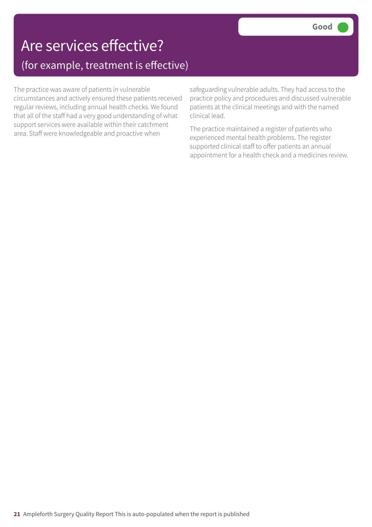The practice was aware of patients in vulnerable circumstances and actively ensured these patients received regular reviews, including annual health checks. We found that all of the staff had a very good understanding of what support services were available within their catchment area. Staff were knowledgeable and proactive when

safeguarding vulnerable adults. They had access to the practice policy and procedures and discussed vulnerable patients at the clinical meetings and with the named clinical lead.

The practice maintained a register of patients who experienced mental health problems. The register supported clinical staff to offer patients an annual appointment for a health check and a medicines review.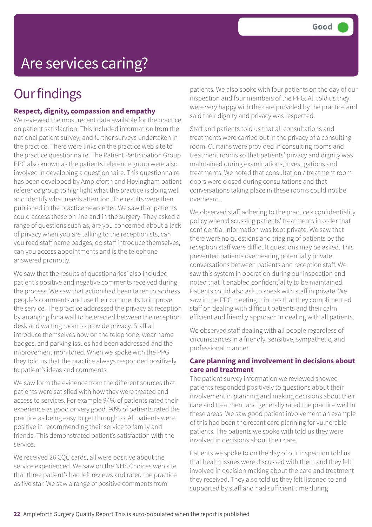## Are services caring?

## **Our findings**

### **Respect, dignity, compassion and empathy**

We reviewed the most recent data available for the practice on patient satisfaction. This included information from the national patient survey, and further surveys undertaken in the practice. There were links on the practice web site to the practice questionnaire. The Patient Participation Group PPG also known as the patients reference group were also involved in developing a questionnaire. This questionnaire has been developed by Ampleforth and Hovingham patient reference group to highlight what the practice is doing well and identify what needs attention. The results were then published in the practice newsletter. We saw that patients could access these on line and in the surgery. They asked a range of questions such as, are you concerned about a lack of privacy when you are talking to the receptionists, can you read staff name badges, do staff introduce themselves, can you access appointments and is the telephone answered promptly.

We saw that the results of questionaries' also included patient's positive and negative comments received during the process. We saw that action had been taken to address people's comments and use their comments to improve the service. The practice addressed the privacy at reception by arranging for a wall to be erected between the reception desk and waiting room to provide privacy. Staff all introduce themselves now on the telephone, wear name badges, and parking issues had been addressed and the improvement monitored. When we spoke with the PPG they told us that the practice always responded positively to patient's ideas and comments.

We saw form the evidence from the different sources that patients were satisfied with how they were treated and access to services. For example 94% of patients rated their experience as good or very good. 98% of patients rated the practice as being easy to get through to. All patients were positive in recommending their service to family and friends. This demonstrated patient's satisfaction with the service.

We received 26 CQC cards, all were positive about the service experienced. We saw on the NHS Choices web site that three patient's had left reviews and rated the practice as five star. We saw a range of positive comments from

patients. We also spoke with four patients on the day of our inspection and four members of the PPG. All told us they were very happy with the care provided by the practice and said their dignity and privacy was respected.

Staff and patients told us that all consultations and treatments were carried out in the privacy of a consulting room. Curtains were provided in consulting rooms and treatment rooms so that patients' privacy and dignity was maintained during examinations, investigations and treatments. We noted that consultation / treatment room doors were closed during consultations and that conversations taking place in these rooms could not be overheard.

We observed staff adhering to the practice's confidentiality policy when discussing patients' treatments in order that confidential information was kept private. We saw that there were no questions and triaging of patients by the reception staff were difficult questions may be asked. This prevented patients overhearing potentially private conversations between patients and reception staff. We saw this system in operation during our inspection and noted that it enabled confidentiality to be maintained. Patients could also ask to speak with staff in private. We saw in the PPG meeting minutes that they complimented staff on dealing with difficult patients and their calm efficient and friendly approach in dealing with all patients.

We observed staff dealing with all people regardless of circumstances in a friendly, sensitive, sympathetic, and professional manner.

### **Care planning and involvement in decisions about care and treatment**

The patient survey information we reviewed showed patients responded positively to questions about their involvement in planning and making decisions about their care and treatment and generally rated the practice well in these areas. We saw good patient involvement an example of this had been the recent care planning for vulnerable patients. The patients we spoke with told us they were involved in decisions about their care.

Patients we spoke to on the day of our inspection told us that health issues were discussed with them and they felt involved in decision making about the care and treatment they received. They also told us they felt listened to and supported by staff and had sufficient time during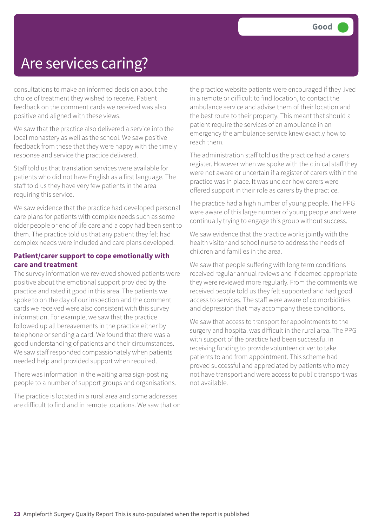## Are services caring?

consultations to make an informed decision about the choice of treatment they wished to receive. Patient feedback on the comment cards we received was also positive and aligned with these views.

We saw that the practice also delivered a service into the local monastery as well as the school. We saw positive feedback from these that they were happy with the timely response and service the practice delivered.

Staff told us that translation services were available for patients who did not have English as a first language. The staff told us they have very few patients in the area requiring this service.

We saw evidence that the practice had developed personal care plans for patients with complex needs such as some older people or end of life care and a copy had been sent to them. The practice told us that any patient they felt had complex needs were included and care plans developed.

### **Patient/carer support to cope emotionally with care and treatment**

The survey information we reviewed showed patients were positive about the emotional support provided by the practice and rated it good in this area. The patients we spoke to on the day of our inspection and the comment cards we received were also consistent with this survey information. For example, we saw that the practice followed up all bereavements in the practice either by telephone or sending a card. We found that there was a good understanding of patients and their circumstances. We saw staff responded compassionately when patients needed help and provided support when required.

There was information in the waiting area sign-posting people to a number of support groups and organisations.

The practice is located in a rural area and some addresses are difficult to find and in remote locations. We saw that on the practice website patients were encouraged if they lived in a remote or difficult to find location, to contact the ambulance service and advise them of their location and the best route to their property. This meant that should a patient require the services of an ambulance in an emergency the ambulance service knew exactly how to reach them.

The administration staff told us the practice had a carers register. However when we spoke with the clinical staff they were not aware or uncertain if a register of carers within the practice was in place. It was unclear how carers were offered support in their role as carers by the practice.

The practice had a high number of young people. The PPG were aware of this large number of young people and were continually trying to engage this group without success.

We saw evidence that the practice works jointly with the health visitor and school nurse to address the needs of children and families in the area.

We saw that people suffering with long term conditions received regular annual reviews and if deemed appropriate they were reviewed more regularly. From the comments we received people told us they felt supported and had good access to services. The staff were aware of co morbidities and depression that may accompany these conditions.

We saw that access to transport for appointments to the surgery and hospital was difficult in the rural area. The PPG with support of the practice had been successful in receiving funding to provide volunteer driver to take patients to and from appointment. This scheme had proved successful and appreciated by patients who may not have transport and were access to public transport was not available.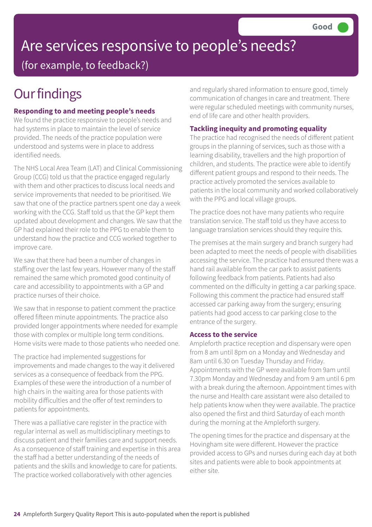# Are services responsive to people's needs?

(for example, to feedback?)

## **Our findings**

### **Responding to and meeting people's needs**

We found the practice responsive to people's needs and had systems in place to maintain the level of service provided. The needs of the practice population were understood and systems were in place to address identified needs.

The NHS Local Area Team (LAT) and Clinical Commissioning Group (CCG) told us that the practice engaged regularly with them and other practices to discuss local needs and service improvements that needed to be prioritised. We saw that one of the practice partners spent one day a week working with the CCG. Staff told us that the GP kept them updated about development and changes. We saw that the GP had explained their role to the PPG to enable them to understand how the practice and CCG worked together to improve care.

We saw that there had been a number of changes in staffing over the last few years. However many of the staff remained the same which promoted good continuity of care and accessibility to appointments with a GP and practice nurses of their choice.

We saw that in response to patient comment the practice offered fifteen minute appointments. The practice also provided longer appointments where needed for example those with complex or multiple long term conditions. Home visits were made to those patients who needed one.

The practice had implemented suggestions for improvements and made changes to the way it delivered services as a consequence of feedback from the PPG. Examples of these were the introduction of a number of high chairs in the waiting area for those patients with mobility difficulties and the offer of text reminders to patients for appointments.

There was a palliative care register in the practice with regular internal as well as multidisciplinary meetings to discuss patient and their families care and support needs. As a consequence of staff training and expertise in this area the staff had a better understanding of the needs of patients and the skills and knowledge to care for patients. The practice worked collaboratively with other agencies

and regularly shared information to ensure good, timely communication of changes in care and treatment. There were regular scheduled meetings with community nurses, end of life care and other health providers.

### **Tackling inequity and promoting equality**

The practice had recognised the needs of different patient groups in the planning of services, such as those with a learning disability, travellers and the high proportion of children, and students. The practice were able to identify different patient groups and respond to their needs. The practice actively promoted the services available to patients in the local community and worked collaboratively with the PPG and local village groups.

The practice does not have many patients who require translation service. The staff told us they have access to language translation services should they require this.

The premises at the main surgery and branch surgery had been adapted to meet the needs of people with disabilities accessing the service. The practice had ensured there was a hand rail available from the car park to assist patients following feedback from patients. Patients had also commented on the difficulty in getting a car parking space. Following this comment the practice had ensured staff accessed car parking away from the surgery; ensuring patients had good access to car parking close to the entrance of the surgery.

### **Access to the service**

Ampleforth practice reception and dispensary were open from 8 am until 8pm on a Monday and Wednesday and 8am until 6.30 on Tuesday Thursday and Friday. Appointments with the GP were available from 9am until 7.30pm Monday and Wednesday and from 9 am until 6 pm with a break during the afternoon. Appointment times with the nurse and Health care assistant were also detailed to help patients know when they were available. The practice also opened the first and third Saturday of each month during the morning at the Ampleforth surgery.

The opening times for the practice and dispensary at the Hovingham site were different. However the practice provided access to GPs and nurses during each day at both sites and patients were able to book appointments at either site.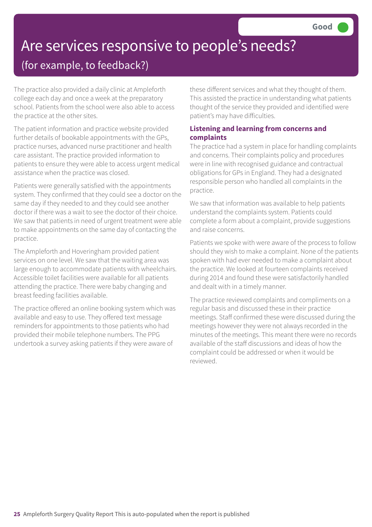# Are services responsive to people's needs?

### (for example, to feedback?)

The practice also provided a daily clinic at Ampleforth college each day and once a week at the preparatory school. Patients from the school were also able to access the practice at the other sites.

The patient information and practice website provided further details of bookable appointments with the GPs, practice nurses, advanced nurse practitioner and health care assistant. The practice provided information to patients to ensure they were able to access urgent medical assistance when the practice was closed.

Patients were generally satisfied with the appointments system. They confirmed that they could see a doctor on the same day if they needed to and they could see another doctor if there was a wait to see the doctor of their choice. We saw that patients in need of urgent treatment were able to make appointments on the same day of contacting the practice.

The Ampleforth and Hoveringham provided patient services on one level. We saw that the waiting area was large enough to accommodate patients with wheelchairs. Accessible toilet facilities were available for all patients attending the practice. There were baby changing and breast feeding facilities available.

The practice offered an online booking system which was available and easy to use. They offered text message reminders for appointments to those patients who had provided their mobile telephone numbers. The PPG undertook a survey asking patients if they were aware of

these different services and what they thought of them. This assisted the practice in understanding what patients thought of the service they provided and identified were patient's may have difficulties.

### **Listening and learning from concerns and complaints**

The practice had a system in place for handling complaints and concerns. Their complaints policy and procedures were in line with recognised guidance and contractual obligations for GPs in England. They had a designated responsible person who handled all complaints in the practice.

We saw that information was available to help patients understand the complaints system. Patients could complete a form about a complaint, provide suggestions and raise concerns.

Patients we spoke with were aware of the process to follow should they wish to make a complaint. None of the patients spoken with had ever needed to make a complaint about the practice. We looked at fourteen complaints received during 2014 and found these were satisfactorily handled and dealt with in a timely manner.

The practice reviewed complaints and compliments on a regular basis and discussed these in their practice meetings. Staff confirmed these were discussed during the meetings however they were not always recorded in the minutes of the meetings. This meant there were no records available of the staff discussions and ideas of how the complaint could be addressed or when it would be reviewed.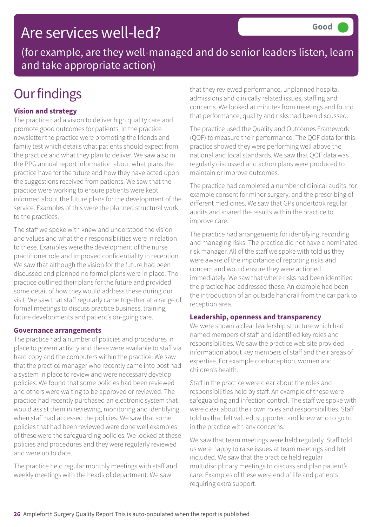## Are services well-led?

(for example, are they well-managed and do senior leaders listen, learn and take appropriate action)

## **Our findings**

### **Vision and strategy**

The practice had a vision to deliver high quality care and promote good outcomes for patients. In the practice newsletter the practice were promoting the friends and family test which details what patients should expect from the practice and what they plan to deliver. We saw also in the PPG annual report information about what plans the practice have for the future and how they have acted upon the suggestions received from patients. We saw that the practice were working to ensure patients were kept informed about the future plans for the development of the service. Examples of this were the planned structural work to the practices.

The staff we spoke with knew and understood the vision and values and what their responsibilities were in relation to these. Examples were the development of the nurse practitioner role and improved confidentiality in reception. We saw that although the vision for the future had been discussed and planned no formal plans were in place. The practice outlined their plans for the future and provided some detail of how they would address these during our visit. We saw that staff regularly came together at a range of formal meetings to discuss practice business, training, future developments and patient's on-going care.

### **Governance arrangements**

The practice had a number of policies and procedures in place to govern activity and these were available to staff via hard copy and the computers within the practice. We saw that the practice manager who recently came into post had a system in place to review and were necessary develop policies. We found that some policies had been reviewed and others were waiting to be approved or reviewed. The practice had recently purchased an electronic system that would assist them in reviewing, monitoring and identifying when staff had accessed the policies. We saw that some policies that had been reviewed were done well examples of these were the safeguarding policies. We looked at these policies and procedures and they were regularly reviewed and were up to date.

The practice held regular monthly meetings with staff and weekly meetings with the heads of department. We saw

that they reviewed performance, unplanned hospital admissions and clinically related issues, staffing and concerns. We looked at minutes from meetings and found that performance, quality and risks had been discussed.

The practice used the Quality and Outcomes Framework (QOF) to measure their performance. The QOF data for this practice showed they were performing well above the national and local standards. We saw that QOF data was regularly discussed and action plans were produced to maintain or improve outcomes.

The practice had completed a number of clinical audits, for example consent for minor surgery, and the prescribing of different medicines. We saw that GPs undertook regular audits and shared the results within the practice to improve care.

The practice had arrangements for identifying, recording and managing risks. The practice did not have a nominated risk manager. All of the staff we spoke with told us they were aware of the importance of reporting risks and concern and would ensure they were actioned immediately. We saw that where risks had been identified the practice had addressed these. An example had been the introduction of an outside handrail from the car park to reception area.

### **Leadership, openness and transparency**

We were shown a clear leadership structure which had named members of staff and identified key roles and responsibilities. We saw the practice web site provided information about key members of staff and their areas of expertise. For example contraception, women and children's health.

Staff in the practice were clear about the roles and responsibilities held by staff. An example of these were safeguarding and infection control. The staff we spoke with were clear about their own roles and responsibilities. Staff told us that felt valued, supported and knew who to go to in the practice with any concerns.

We saw that team meetings were held regularly. Staff told us were happy to raise issues at team meetings and felt included. We saw that the practice held regular multidisciplinary meetings to discuss and plan patient's care. Examples of these were end of life and patients requiring extra support.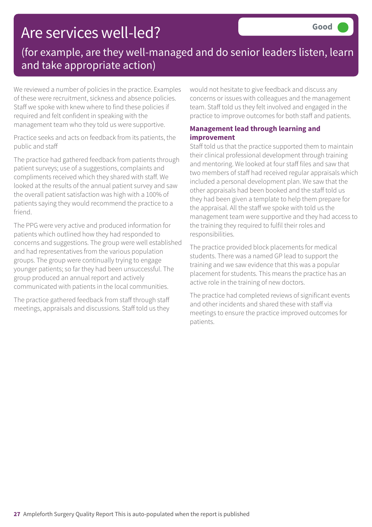## Are services well-led?

### (for example, are they well-managed and do senior leaders listen, learn and take appropriate action)

We reviewed a number of policies in the practice. Examples of these were recruitment, sickness and absence policies. Staff we spoke with knew where to find these policies if required and felt confident in speaking with the management team who they told us were supportive.

Practice seeks and acts on feedback from its patients, the public and staff

The practice had gathered feedback from patients through patient surveys; use of a suggestions, complaints and compliments received which they shared with staff. We looked at the results of the annual patient survey and saw the overall patient satisfaction was high with a 100% of patients saying they would recommend the practice to a friend.

The PPG were very active and produced information for patients which outlined how they had responded to concerns and suggestions. The group were well established and had representatives from the various population groups. The group were continually trying to engage younger patients; so far they had been unsuccessful. The group produced an annual report and actively communicated with patients in the local communities.

The practice gathered feedback from staff through staff meetings, appraisals and discussions. Staff told us they would not hesitate to give feedback and discuss any concerns or issues with colleagues and the management team. Staff told us they felt involved and engaged in the practice to improve outcomes for both staff and patients.

### **Management lead through learning and improvement**

Staff told us that the practice supported them to maintain their clinical professional development through training and mentoring. We looked at four staff files and saw that two members of staff had received regular appraisals which included a personal development plan. We saw that the other appraisals had been booked and the staff told us they had been given a template to help them prepare for the appraisal. All the staff we spoke with told us the management team were supportive and they had access to the training they required to fulfil their roles and responsibilities.

The practice provided block placements for medical students. There was a named GP lead to support the training and we saw evidence that this was a popular placement for students. This means the practice has an active role in the training of new doctors.

The practice had completed reviews of significant events and other incidents and shared these with staff via meetings to ensure the practice improved outcomes for patients.